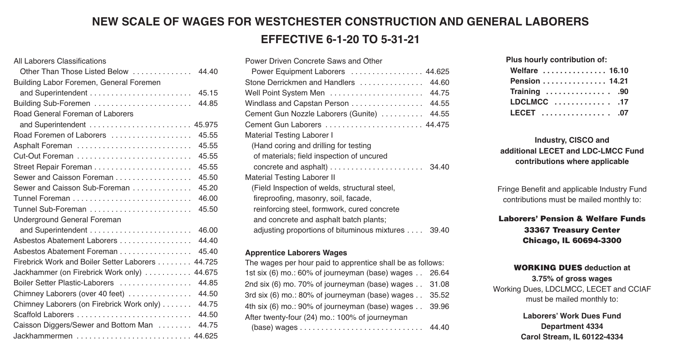# **NEW SCALE OF WAGES FOR WESTCHESTER CONSTRUCTION AND GENERAL LABORERS EFFECTIVE 6-1-20 TO 5-31-21**

## All Laborers Classifications Other Than Those Listed Below . . . . . . . . . . . . . . 44.40 Building Labor Foremen, General Foremen and Superintendent . . . . . . . . . . . . . . . . . . . . . . . . 45.15 Building Sub-Foremen . . . . . . . . . . . . . . . . . . . . . . . 44.85 Road General Foreman of Laborers and Superintendent . . . . . . . . . . . . . . . . . . . . . . . . 45.975 Road Foremen of Laborers ...................... 45.55 Asphalt Foreman . . . . . . . . . . . . . . . . . . . . . . . . . . . 45.55 Cut-Out Foreman . . . . . . . . . . . . . . . . . . . . . . . . . . . 45.55 Street Repair Foreman . . . . . . . . . . . . . . . . . . . . . . . 45.55 Sewer and Caisson Foreman . . . . . . . . . . . . . . . . . . 45.50 Sewer and Caisson Sub-Foreman . . . . . . . . . 45.20 Tunnel Foreman . . . . . . . . . . . . . . . . . . . . . . . . . . . . 46.00 Tunnel Sub-Foreman . . . . . . . . . . . . . . . . . . . . . . . . 45.50 Underground General Foreman and Superintendent . . . . . . . . . . . . . . . . . . . . . . . . 46.00 Asbestos Abatement Laborers . . . . . . . . . . . . . . . 44.40 Asbestos Abatement Foreman . . . . . . . . . . 45.40 Firebrick Work and Boiler Setter Laborers . . . . . . . . 44.725 Jackhammer (on Firebrick Work only) . . . . . . . . . . . 44.675 Boiler Setter Plastic-Laborers . . . . . . . . . . . . . 44.85 Chimney Laborers (over 40 feet) . . . . . . . . . . . . . 44.50 Chimney Laborers (on Firebrick Work only) . . . . . . . 44.75 Scaffold Laborers . . . . . . . . . . . . . . . . . . . . . . . . . . . 44.50 Caisson Diggers/Sewer and Bottom Man . . . . . . . . 44.75 Jackhammermen . . . . . . . . . . . . . . . . . . . . . . . . . . . 44.625

| Power Driven Concrete Saws and Other                  |
|-------------------------------------------------------|
| Power Equipment Laborers  44.625                      |
| 44.60<br>Stone Derrickmen and Handlers                |
| 44.75<br>Well Point System Men                        |
| 44.55<br>Windlass and Capstan Person                  |
| 44.55<br>Cement Gun Nozzle Laborers (Gunite)          |
| Cement Gun Laborers  44.475                           |
| Material Testing Laborer I                            |
| (Hand coring and drilling for testing                 |
| of materials; field inspection of uncured             |
| concrete and asphalt)<br>.3440                        |
| <b>Material Testing Laborer II</b>                    |
| (Field Inspection of welds, structural steel,         |
| fireproofing, masonry, soil, facade,                  |
| reinforcing steel, formwork, cured concrete           |
| and concrete and asphalt batch plants;                |
| adjusting proportions of bituminous mixtures<br>39.40 |

#### **Apprentice Laborers Wages**

The wages per hour paid to apprentice shall be as follows: 1st six (6) mo.: 60% of journeyman (base) wages . . 26.64 2nd six (6) mo. 70% of journeyman (base) wages . . 31.08 3rd six (6) mo.: 80% of journeyman (base) wages . . 35.52 4th six (6) mo.: 90% of journeyman (base) wages . . 39.96 After twenty-four (24) mo.: 100% of journeyman (base) wages . . . . . . . . . . . . . . . . . . . . . . . . . . . . . 44.40 **Plus hourly contribution of: Welfare . . . . . . . . . . . . . . . 16.10 Pension . . . . . . . . . . . . . . . 14.21 Training . . . . . . . . . . . . . . . .90 LDCLMCC . . . . . . . . . . . . . .17 LECET . . . . . . . . . . . . . . . . .07**

# **Industry, CISCO and additional LECET and LDC-LMCC Fund contributions where applicable**

Fringe Benefit and applicable Industry Fund contributions must be mailed monthly to:

# **Laborers' Pension & Welfare Funds 33367 Treasury Center Chicago, lL 60694-3300**

#### **WORKING DUES deduction at 3.75% of gross wages** Working Dues, LDCLMCC, LECET and CCIAF must be mailed monthly to:

**Laborers' Work Dues Fund Department 4334 Carol Stream, IL 60122-4334**